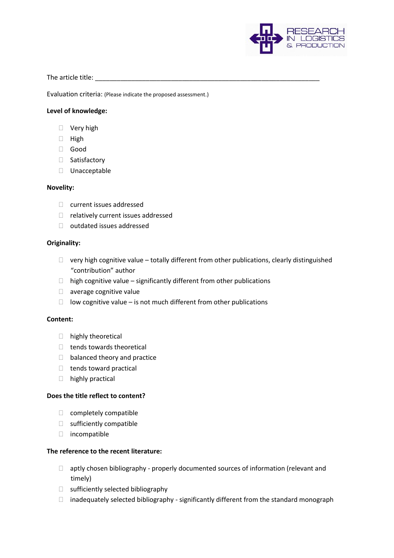

The article title: **The article title:**  $\blacksquare$ 

Evaluation criteria: (Please indicate the proposed assessment.)

# **Level of knowledge:**

- □ Very high
- $\Box$  High
- Good
- □ Satisfactory
- D Unacceptable

#### **Novelity:**

- $\Box$  current issues addressed
- □ relatively current issues addressed
- outdated issues addressed

### **Originality:**

- $\Box$  very high cognitive value totally different from other publications, clearly distinguished "contribution" author
- $\Box$  high cognitive value significantly different from other publications
- $\Box$  average cognitive value
- $\Box$  low cognitive value is not much different from other publications

# **Content:**

- □ highly theoretical
- $\Box$  tends towards theoretical
- □ balanced theory and practice
- $\Box$  tends toward practical
- $\Box$  highly practical

### **Does the title reflect to content?**

- $\Box$  completely compatible
- sufficiently compatible
- $\Box$  incompatible

### **The reference to the recent literature:**

- $\Box$  aptly chosen bibliography properly documented sources of information (relevant and timely)
- $\Box$  sufficiently selected bibliography
- $\Box$  inadequately selected bibliography significantly different from the standard monograph